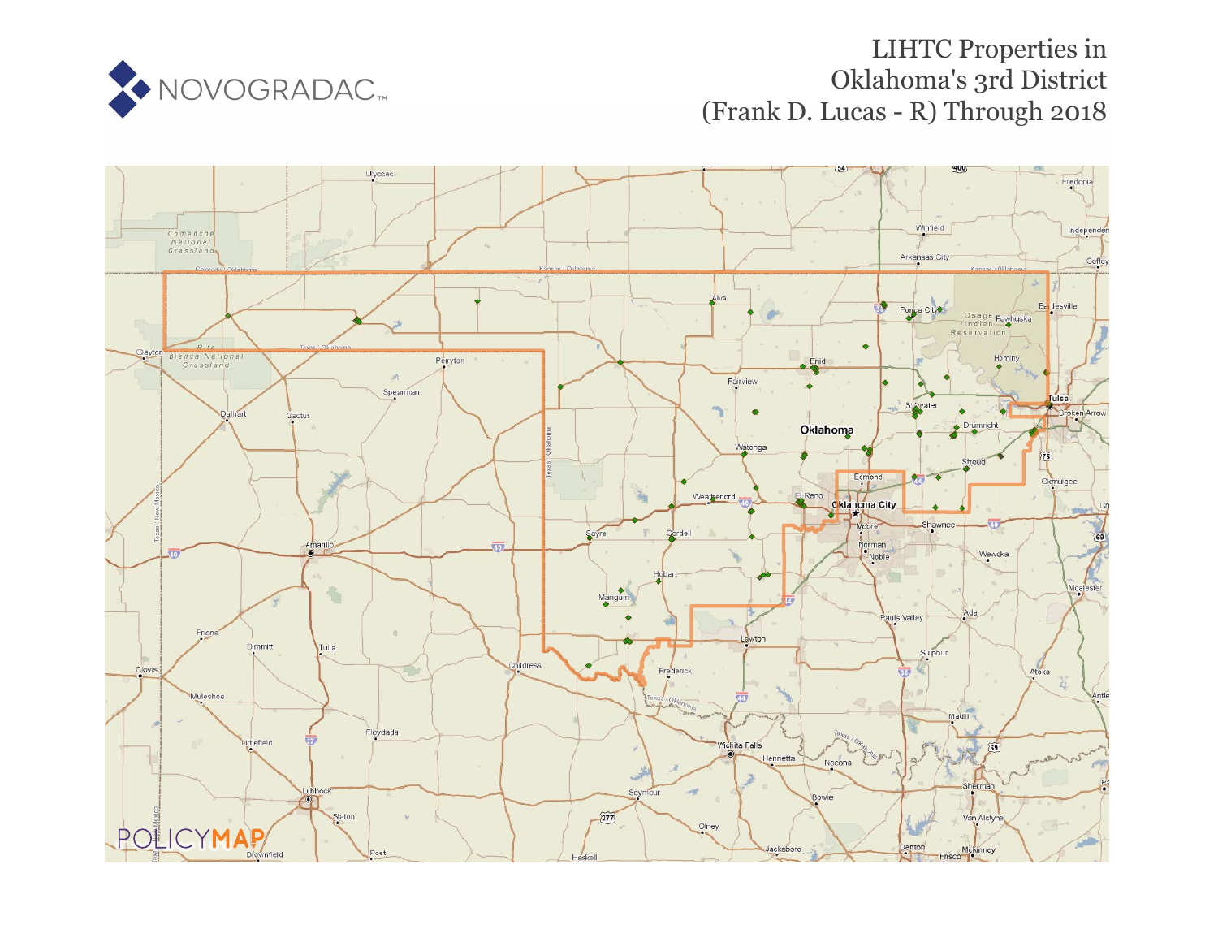

# LIHTC Properties in Oklahoma's 3rd District (Frank D. Lucas - R) Through 2018

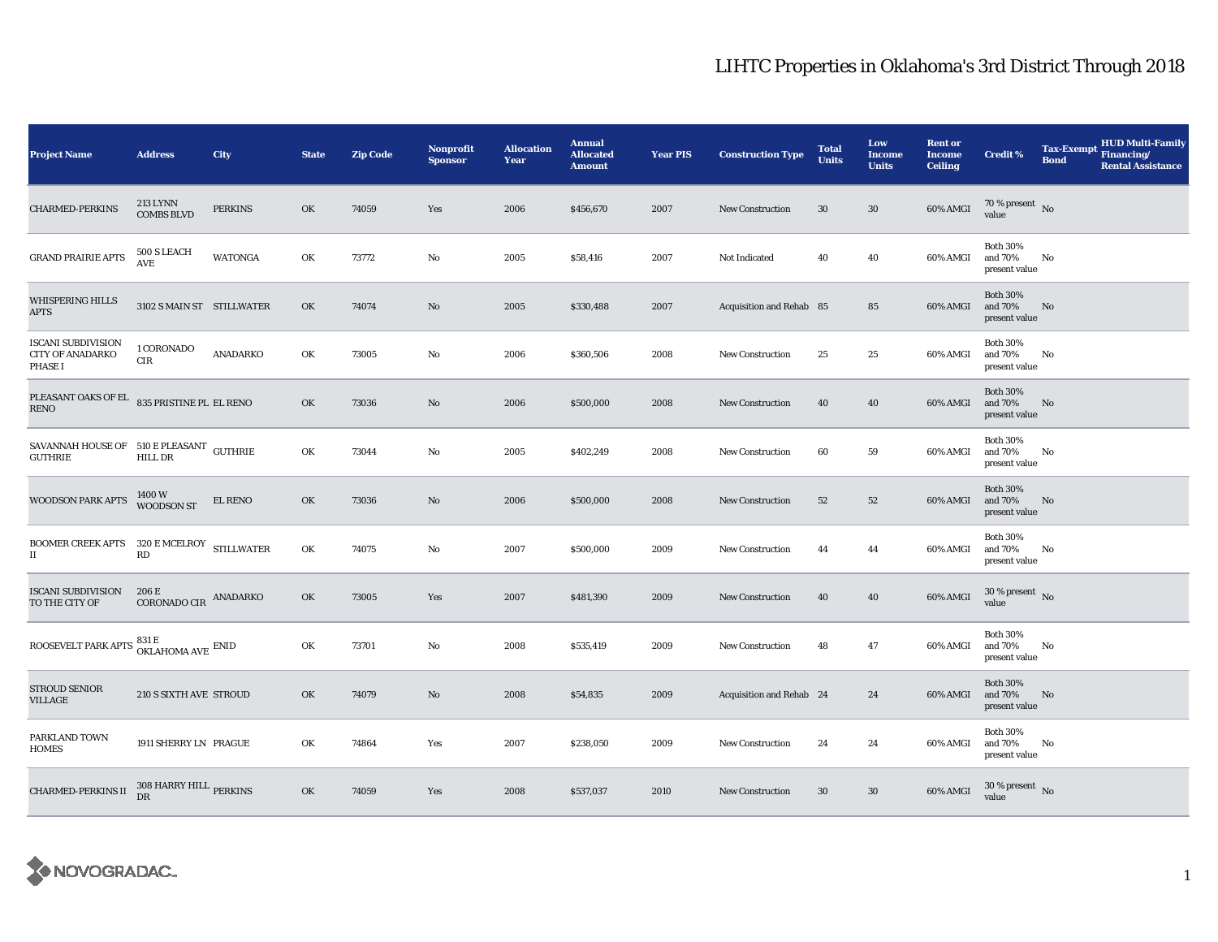| <b>Project Name</b>                                                                                                 | <b>Address</b>                               | City                          | <b>State</b> | <b>Zip Code</b> | Nonprofit<br><b>Sponsor</b> | <b>Allocation</b><br>Year | <b>Annual</b><br><b>Allocated</b><br><b>Amount</b> | <b>Year PIS</b> | <b>Construction Type</b> | <b>Total</b><br><b>Units</b> | Low<br><b>Income</b><br><b>Units</b> | <b>Rent or</b><br><b>Income</b><br><b>Ceiling</b> | <b>Credit %</b>                             | <b>Tax-Exempt</b><br><b>Bond</b> | <b>HUD Multi-Family</b><br>Financing/<br><b>Rental Assistance</b> |
|---------------------------------------------------------------------------------------------------------------------|----------------------------------------------|-------------------------------|--------------|-----------------|-----------------------------|---------------------------|----------------------------------------------------|-----------------|--------------------------|------------------------------|--------------------------------------|---------------------------------------------------|---------------------------------------------|----------------------------------|-------------------------------------------------------------------|
| <b>CHARMED-PERKINS</b>                                                                                              | <b>213 LYNN</b><br><b>COMBS BLVD</b>         | <b>PERKINS</b>                | OK           | 74059           | Yes                         | 2006                      | \$456,670                                          | 2007            | <b>New Construction</b>  | 30                           | $30\,$                               | 60% AMGI                                          | $70\,\%$ present $\,$ No value              |                                  |                                                                   |
| <b>GRAND PRAIRIE APTS</b>                                                                                           | 500 S LEACH<br>$\operatorname{\mathbf{AVE}}$ | WATONGA                       | OK           | 73772           | No                          | 2005                      | \$58,416                                           | 2007            | Not Indicated            | 40                           | 40                                   | 60% AMGI                                          | <b>Both 30%</b><br>and 70%<br>present value | No                               |                                                                   |
| <b>WHISPERING HILLS</b><br><b>APTS</b>                                                                              | 3102 S MAIN ST STILLWATER                    |                               | OK           | 74074           | No                          | 2005                      | \$330,488                                          | 2007            | Acquisition and Rehab 85 |                              | 85                                   | 60% AMGI                                          | <b>Both 30%</b><br>and 70%<br>present value | No                               |                                                                   |
| <b>ISCANI SUBDIVISION</b><br><b>CITY OF ANADARKO</b><br>PHASE I                                                     | 1 CORONADO<br>CIR                            | ANADARKO                      | OK           | 73005           | No                          | 2006                      | \$360,506                                          | 2008            | <b>New Construction</b>  | 25                           | 25                                   | 60% AMGI                                          | <b>Both 30%</b><br>and 70%<br>present value | No                               |                                                                   |
| PLEASANT OAKS OF EL<br>RENO                                                                                         | 835 PRISTINE PL EL RENO                      |                               | OK           | 73036           | No                          | 2006                      | \$500,000                                          | 2008            | New Construction         | 40                           | 40                                   | 60% AMGI                                          | <b>Both 30%</b><br>and 70%<br>present value | No                               |                                                                   |
| SAVANNAH HOUSE OF 510 E PLEASANT GUTHRIE<br>GUTHRIE                                                                 | <b>HILL DR</b>                               |                               | OK           | 73044           | No                          | 2005                      | \$402,249                                          | 2008            | <b>New Construction</b>  | 60                           | 59                                   | 60% AMGI                                          | <b>Both 30%</b><br>and 70%<br>present value | No                               |                                                                   |
| WOODSON PARK APTS                                                                                                   | 1400 W<br>WOODSON ST                         | $\mathop{\hbox{\rm EL}}$ RENO | OK           | 73036           | No                          | 2006                      | \$500,000                                          | 2008            | <b>New Construction</b>  | 52                           | 52                                   | 60% AMGI                                          | <b>Both 30%</b><br>and 70%<br>present value | No                               |                                                                   |
| BOOMER CREEK APTS 320 E MCELROY STILLWATER<br>$\scriptstyle\rm II$                                                  | RD                                           |                               | OK           | 74075           | No                          | 2007                      | \$500,000                                          | 2009            | <b>New Construction</b>  | 44                           | 44                                   | 60% AMGI                                          | <b>Both 30%</b><br>and 70%<br>present value | No                               |                                                                   |
| <b>ISCANI SUBDIVISION</b><br>TO THE CITY OF                                                                         | 206 E<br>CORONADO CIR ANADARKO               |                               | OK           | 73005           | Yes                         | 2007                      | \$481,390                                          | 2009            | New Construction         | 40                           | 40                                   | 60% AMGI                                          | $30\,\%$ present $\,$ No value              |                                  |                                                                   |
| ROOSEVELT PARK APTS $\begin{array}{l} 831\, \mathrm{E}\\ 0 \mathrm{KL} \mathrm{HOMA} \mathrm{AVE} \end{array}$ ENID |                                              |                               | OK           | 73701           | No                          | 2008                      | \$535,419                                          | 2009            | <b>New Construction</b>  | 48                           | 47                                   | 60% AMGI                                          | <b>Both 30%</b><br>and 70%<br>present value | No                               |                                                                   |
| STROUD SENIOR<br>VILLAGE                                                                                            | 210 S SIXTH AVE STROUD                       |                               | OK           | 74079           | No                          | 2008                      | \$54,835                                           | 2009            | Acquisition and Rehab 24 |                              | 24                                   | 60% AMGI                                          | <b>Both 30%</b><br>and 70%<br>present value | No                               |                                                                   |
| PARKLAND TOWN<br><b>HOMES</b>                                                                                       | 1911 SHERRY LN PRAGUE                        |                               | OK           | 74864           | Yes                         | 2007                      | \$238,050                                          | 2009            | <b>New Construction</b>  | 24                           | 24                                   | 60% AMGI                                          | <b>Both 30%</b><br>and 70%<br>present value | No                               |                                                                   |
| CHARMED-PERKINS II 308 HARRY HILL PERKINS                                                                           |                                              |                               | OK           | 74059           | Yes                         | 2008                      | \$537,037                                          | 2010            | <b>New Construction</b>  | 30                           | $30\,$                               | 60% AMGI                                          | $30\,\%$ present $\,$ No value              |                                  |                                                                   |

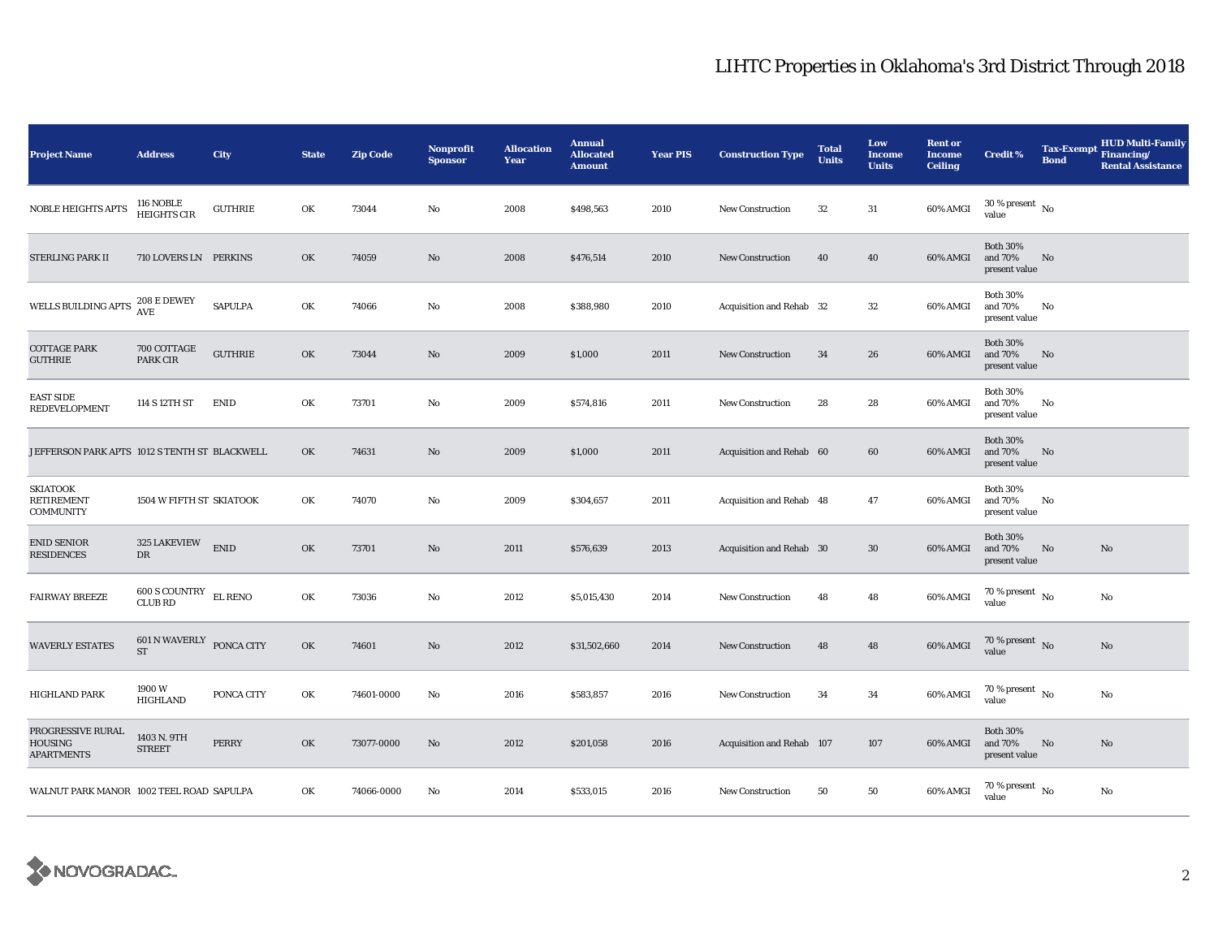| <b>Project Name</b>                                      | <b>Address</b>                          | City           | <b>State</b> | <b>Zip Code</b> | <b>Nonprofit</b><br><b>Sponsor</b> | <b>Allocation</b><br>Year | <b>Annual</b><br><b>Allocated</b><br><b>Amount</b> | <b>Year PIS</b> | <b>Construction Type</b>  | <b>Total</b><br><b>Units</b> | Low<br><b>Income</b><br><b>Units</b> | <b>Rent or</b><br><b>Income</b><br><b>Ceiling</b> | <b>Credit %</b>                                | <b>Tax-Exempt</b><br><b>Bond</b> | <b>HUD Multi-Family</b><br>Financing/<br><b>Rental Assistance</b> |
|----------------------------------------------------------|-----------------------------------------|----------------|--------------|-----------------|------------------------------------|---------------------------|----------------------------------------------------|-----------------|---------------------------|------------------------------|--------------------------------------|---------------------------------------------------|------------------------------------------------|----------------------------------|-------------------------------------------------------------------|
| <b>NOBLE HEIGHTS APTS</b>                                | 116 NOBLE<br>HEIGHTS CIR                | <b>GUTHRIE</b> | OK           | 73044           | No                                 | 2008                      | \$498,563                                          | 2010            | <b>New Construction</b>   | 32                           | $31\,$                               | 60% AMGI                                          | $30$ % present $\,$ No $\,$<br>value           |                                  |                                                                   |
| STERLING PARK II                                         | 710 LOVERS LN PERKINS                   |                | OK           | 74059           | $\mathbf{No}$                      | 2008                      | \$476,514                                          | 2010            | <b>New Construction</b>   | 40                           | 40                                   | 60% AMGI                                          | <b>Both 30%</b><br>and 70%<br>present value    | No                               |                                                                   |
| WELLS BUILDING APTS                                      | 208 E DEWEY<br>AVE                      | <b>SAPULPA</b> | OK           | 74066           | No                                 | 2008                      | \$388,980                                          | 2010            | Acquisition and Rehab 32  |                              | $32\,$                               | 60% AMGI                                          | <b>Both 30%</b><br>and 70%<br>present value    | No                               |                                                                   |
| <b>COTTAGE PARK</b><br><b>GUTHRIE</b>                    | 700 COTTAGE<br>PARK CIR                 | <b>GUTHRIE</b> | OK           | 73044           | No                                 | 2009                      | \$1,000                                            | 2011            | <b>New Construction</b>   | 34                           | 26                                   | 60% AMGI                                          | <b>Both 30%</b><br>and 70%<br>present value    | No                               |                                                                   |
| <b>EAST SIDE</b><br><b>REDEVELOPMENT</b>                 | 114 S 12TH ST                           | <b>ENID</b>    | OK           | 73701           | No                                 | 2009                      | \$574,816                                          | 2011            | <b>New Construction</b>   | 28                           | 28                                   | 60% AMGI                                          | <b>Both 30%</b><br>and 70%<br>present value    | No                               |                                                                   |
| JEFFERSON PARK APTS 1012 S TENTH ST BLACKWELL            |                                         |                | OK           | 74631           | No                                 | 2009                      | \$1,000                                            | 2011            | Acquisition and Rehab 60  |                              | 60                                   | 60% AMGI                                          | <b>Both 30%</b><br>and 70%<br>present value    | No                               |                                                                   |
| <b>SKIATOOK</b><br><b>RETIREMENT</b><br><b>COMMUNITY</b> | 1504 W FIFTH ST SKIATOOK                |                | OK           | 74070           | No                                 | 2009                      | \$304,657                                          | 2011            | Acquisition and Rehab 48  |                              | 47                                   | 60% AMGI                                          | <b>Both 30%</b><br>and $70\%$<br>present value | No                               |                                                                   |
| <b>ENID SENIOR</b><br><b>RESIDENCES</b>                  | 325 LAKEVIEW<br>${\rm DR}$              | <b>ENID</b>    | OK           | 73701           | No                                 | 2011                      | \$576,639                                          | 2013            | Acquisition and Rehab 30  |                              | $30\,$                               | 60% AMGI                                          | <b>Both 30%</b><br>and 70%<br>present value    | No                               | No                                                                |
| <b>FAIRWAY BREEZE</b>                                    | 600 S COUNTRY EL RENO<br><b>CLUB RD</b> |                | OK           | 73036           | No                                 | 2012                      | \$5,015,430                                        | 2014            | <b>New Construction</b>   | 48                           | 48                                   | 60% AMGI                                          | $70$ % present $\,$ No $\,$<br>value           |                                  | No                                                                |
| <b>WAVERLY ESTATES</b>                                   | 601 N WAVERLY PONCA CITY<br><b>ST</b>   |                | OK           | 74601           | No                                 | 2012                      | \$31,502,660                                       | 2014            | <b>New Construction</b>   | 48                           | 48                                   | 60% AMGI                                          | 70 % present $\hbox{~No}$<br>value             |                                  | No                                                                |
| <b>HIGHLAND PARK</b>                                     | 1900W<br><b>HIGHLAND</b>                | PONCA CITY     | OK           | 74601-0000      | No                                 | 2016                      | \$583,857                                          | 2016            | <b>New Construction</b>   | 34                           | 34                                   | 60% AMGI                                          | 70 % present $\hbox{~No}$<br>value             |                                  | No                                                                |
| PROGRESSIVE RURAL<br><b>HOUSING</b><br><b>APARTMENTS</b> | 1403 N. 9TH<br><b>STREET</b>            | PERRY          | OK           | 73077-0000      | No                                 | 2012                      | \$201,058                                          | 2016            | Acquisition and Rehab 107 |                              | 107                                  | 60% AMGI                                          | <b>Both 30%</b><br>and 70%<br>present value    | No                               | No                                                                |
| WALNUT PARK MANOR 1002 TEEL ROAD SAPULPA                 |                                         |                | OK           | 74066-0000      | No                                 | 2014                      | \$533,015                                          | 2016            | <b>New Construction</b>   | 50                           | 50                                   | 60% AMGI                                          | $70$ % present $\,$ No $\,$<br>value           |                                  | No                                                                |

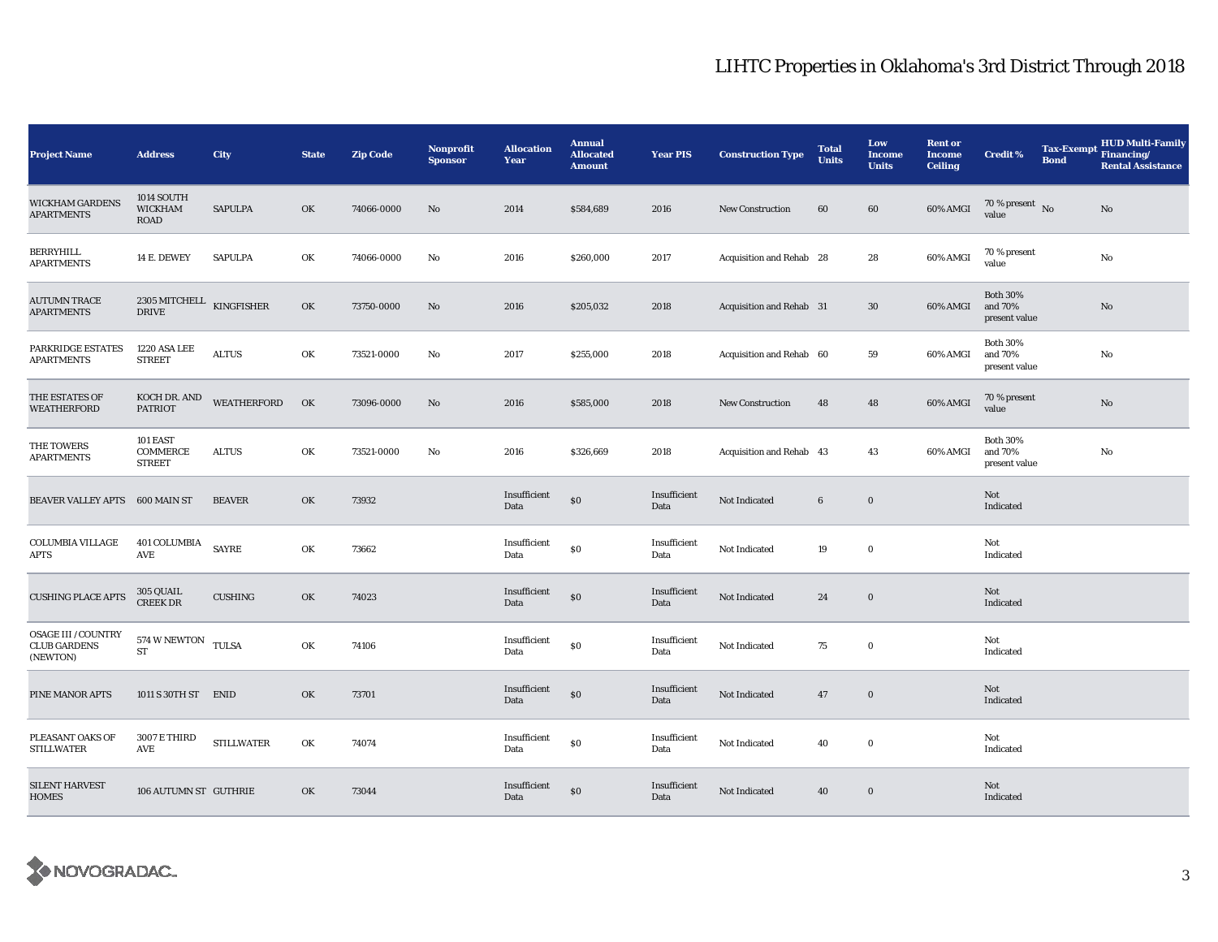| <b>Project Name</b>                                           | <b>Address</b>                                | City              | <b>State</b> | <b>Zip Code</b> | Nonprofit<br><b>Sponsor</b> | <b>Allocation</b><br>Year | <b>Annual</b><br><b>Allocated</b><br><b>Amount</b> | <b>Year PIS</b>      | <b>Construction Type</b> | <b>Total</b><br><b>Units</b> | Low<br><b>Income</b><br><b>Units</b> | <b>Rent or</b><br><b>Income</b><br><b>Ceiling</b> | <b>Credit %</b>                             | <b>Bond</b> | <b>HUD Multi-Family</b><br>Tax-Exempt Financing/<br><b>Rental Assistance</b> |
|---------------------------------------------------------------|-----------------------------------------------|-------------------|--------------|-----------------|-----------------------------|---------------------------|----------------------------------------------------|----------------------|--------------------------|------------------------------|--------------------------------------|---------------------------------------------------|---------------------------------------------|-------------|------------------------------------------------------------------------------|
| <b>WICKHAM GARDENS</b><br><b>APARTMENTS</b>                   | 1014 SOUTH<br><b>WICKHAM</b><br><b>ROAD</b>   | SAPULPA           | OK           | 74066-0000      | No                          | 2014                      | \$584,689                                          | 2016                 | <b>New Construction</b>  | 60                           | 60                                   | 60% AMGI                                          | $70\,\%$ present $\,$ No value              |             | No                                                                           |
| BERRYHILL<br><b>APARTMENTS</b>                                | 14 E. DEWEY                                   | <b>SAPULPA</b>    | OK           | 74066-0000      | No                          | 2016                      | \$260,000                                          | 2017                 | Acquisition and Rehab 28 |                              | 28                                   | 60% AMGI                                          | 70 % present<br>value                       |             | No                                                                           |
| AUTUMN TRACE<br><b>APARTMENTS</b>                             | 2305 MITCHELL $\,$ KINGFISHER<br><b>DRIVE</b> |                   | OK           | 73750-0000      | $\mathbf{N}\mathbf{o}$      | 2016                      | \$205,032                                          | 2018                 | Acquisition and Rehab 31 |                              | 30                                   | 60% AMGI                                          | <b>Both 30%</b><br>and 70%<br>present value |             | $\rm No$                                                                     |
| PARKRIDGE ESTATES<br>APARTMENTS                               | 1220 ASA LEE<br><b>STREET</b>                 | <b>ALTUS</b>      | OK           | 73521-0000      | No                          | 2017                      | \$255,000                                          | 2018                 | Acquisition and Rehab 60 |                              | 59                                   | 60% AMGI                                          | <b>Both 30%</b><br>and 70%<br>present value |             | No                                                                           |
| THE ESTATES OF<br><b>WEATHERFORD</b>                          | KOCH DR. AND<br><b>PATRIOT</b>                | WEATHERFORD       | OK           | 73096-0000      | No                          | 2016                      | \$585,000                                          | 2018                 | <b>New Construction</b>  | 48                           | 48                                   | 60% AMGI                                          | 70 % present<br>value                       |             | No                                                                           |
| THE TOWERS<br><b>APARTMENTS</b>                               | 101 EAST<br><b>COMMERCE</b><br><b>STREET</b>  | <b>ALTUS</b>      | OK           | 73521-0000      | No                          | 2016                      | \$326,669                                          | 2018                 | Acquisition and Rehab 43 |                              | 43                                   | 60% AMGI                                          | <b>Both 30%</b><br>and 70%<br>present value |             | No                                                                           |
| BEAVER VALLEY APTS                                            | 600 MAIN ST                                   | <b>BEAVER</b>     | OK           | 73932           |                             | Insufficient<br>Data      | $\$0$                                              | Insufficient<br>Data | Not Indicated            | $\bf 6$                      | $\mathbf 0$                          |                                                   | Not<br>Indicated                            |             |                                                                              |
| <b>COLUMBIA VILLAGE</b><br>APTS                               | 401 COLUMBIA<br>AVE                           | <b>SAYRE</b>      | OK           | 73662           |                             | Insufficient<br>Data      | \$0                                                | Insufficient<br>Data | Not Indicated            | 19                           | $\bf{0}$                             |                                                   | Not<br>Indicated                            |             |                                                                              |
| <b>CUSHING PLACE APTS</b>                                     | 305 QUAIL<br><b>CREEK DR</b>                  | <b>CUSHING</b>    | OK           | 74023           |                             | Insufficient<br>Data      | \$0                                                | Insufficient<br>Data | Not Indicated            | 24                           | $\mathbf 0$                          |                                                   | Not<br>Indicated                            |             |                                                                              |
| <b>OSAGE III / COUNTRY</b><br><b>CLUB GARDENS</b><br>(NEWTON) | 574 W NEWTON TULSA<br>${\rm ST}$              |                   | OK           | 74106           |                             | Insufficient<br>Data      | $\$0$                                              | Insufficient<br>Data | Not Indicated            | 75                           | $\bf{0}$                             |                                                   | Not<br>Indicated                            |             |                                                                              |
| PINE MANOR APTS                                               | 1011 S 30TH ST                                | <b>ENID</b>       | OK           | 73701           |                             | Insufficient<br>Data      | \$0                                                | Insufficient<br>Data | Not Indicated            | 47                           | $\mathbf 0$                          |                                                   | Not<br>Indicated                            |             |                                                                              |
| PLEASANT OAKS OF<br><b>STILLWATER</b>                         | <b>3007 E THIRD</b><br>AVE                    | <b>STILLWATER</b> | OK           | 74074           |                             | Insufficient<br>Data      | \$0                                                | Insufficient<br>Data | Not Indicated            | 40                           | $\bf{0}$                             |                                                   | Not<br>Indicated                            |             |                                                                              |
| <b>SILENT HARVEST</b><br><b>HOMES</b>                         | 106 AUTUMN ST GUTHRIE                         |                   | OK           | 73044           |                             | Insufficient<br>Data      | \$0                                                | Insufficient<br>Data | Not Indicated            | 40                           | $\bf{0}$                             |                                                   | Not<br>Indicated                            |             |                                                                              |

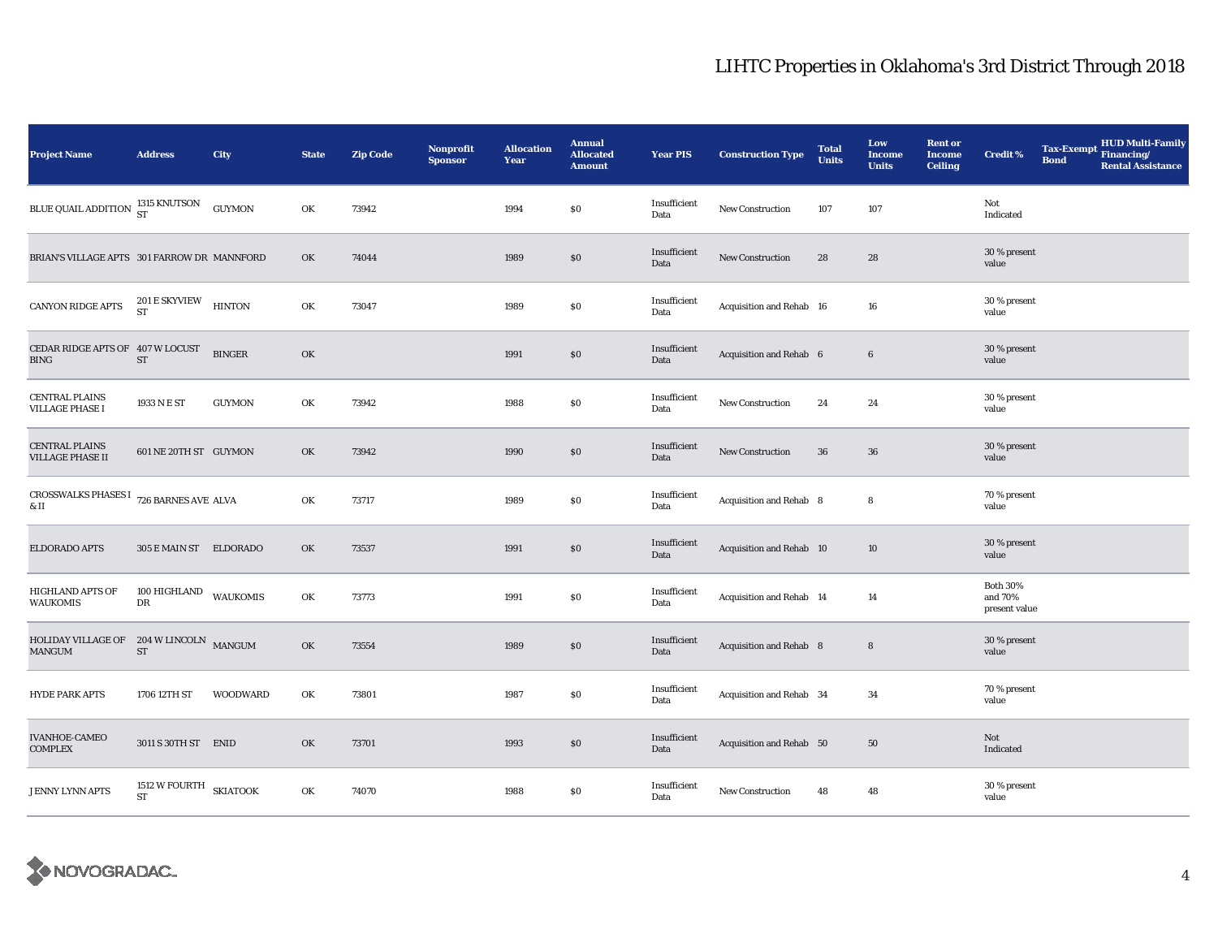| <b>Project Name</b>                                     | <b>Address</b>                          | City          | <b>State</b> | <b>Zip Code</b> | <b>Nonprofit</b><br><b>Sponsor</b> | <b>Allocation</b><br>Year | <b>Annual</b><br><b>Allocated</b><br><b>Amount</b> | <b>Year PIS</b>      | <b>Construction Type</b> | <b>Total</b><br><b>Units</b> | Low<br><b>Income</b><br><b>Units</b> | <b>Rent or</b><br><b>Income</b><br><b>Ceiling</b> | <b>Credit %</b>                             | <b>Bond</b> | Tax-Exempt HUD Multi-Family<br><b>Rental Assistance</b> |
|---------------------------------------------------------|-----------------------------------------|---------------|--------------|-----------------|------------------------------------|---------------------------|----------------------------------------------------|----------------------|--------------------------|------------------------------|--------------------------------------|---------------------------------------------------|---------------------------------------------|-------------|---------------------------------------------------------|
| BLUE QUAIL ADDITION 315 KNUTSON                         |                                         | <b>GUYMON</b> | OK           | 73942           |                                    | 1994                      | $\$0$                                              | Insufficient<br>Data | New Construction         | 107                          | 107                                  |                                                   | Not<br>Indicated                            |             |                                                         |
| BRIAN'S VILLAGE APTS 301 FARROW DR MANNFORD             |                                         |               | OK           | 74044           |                                    | 1989                      | $\$0$                                              | Insufficient<br>Data | <b>New Construction</b>  | 28                           | 28                                   |                                                   | 30 % present<br>value                       |             |                                                         |
| CANYON RIDGE APTS                                       | $201\,\mathrm{E\,SKYVIEW}$ HINTON ST    |               | OK           | 73047           |                                    | 1989                      | $\$0$                                              | Insufficient<br>Data | Acquisition and Rehab 16 |                              | 16                                   |                                                   | 30 % present<br>value                       |             |                                                         |
| CEDAR RIDGE APTS OF 407 W LOCUST<br><b>BING</b>         | ${\rm ST}$                              | <b>BINGER</b> | OK           |                 |                                    | 1991                      | \$0                                                | Insufficient<br>Data | Acquisition and Rehab 6  |                              | $6\phantom{.}6$                      |                                                   | 30 % present<br>value                       |             |                                                         |
| <b>CENTRAL PLAINS</b><br><b>VILLAGE PHASE I</b>         | 1933 N E ST                             | <b>GUYMON</b> | OK           | 73942           |                                    | 1988                      | $\$0$                                              | Insufficient<br>Data | New Construction         | 24                           | 24                                   |                                                   | 30 % present<br>value                       |             |                                                         |
| <b>CENTRAL PLAINS</b><br><b>VILLAGE PHASE II</b>        | 601 NE 20TH ST GUYMON                   |               | OK           | 73942           |                                    | 1990                      | $\$0$                                              | Insufficient<br>Data | <b>New Construction</b>  | 36                           | 36                                   |                                                   | 30 % present<br>value                       |             |                                                         |
| CROSSWALKS PHASES I $\,$ 726 BARNES AVE ALVA<br>$\&$ II |                                         |               | OK           | 73717           |                                    | 1989                      | $\$0$                                              | Insufficient<br>Data | Acquisition and Rehab 8  |                              | 8                                    |                                                   | 70 % present<br>value                       |             |                                                         |
| ELDORADO APTS                                           | 305 E MAIN ST ELDORADO                  |               | OK           | 73537           |                                    | 1991                      | \$0                                                | Insufficient<br>Data | Acquisition and Rehab 10 |                              | 10                                   |                                                   | 30 % present<br>value                       |             |                                                         |
| <b>HIGHLAND APTS OF</b><br><b>WAUKOMIS</b>              | $100\,$ HIGHLAND $$\tt WAUKOMIS$$<br>DR |               | OK           | 73773           |                                    | 1991                      | $\$0$                                              | Insufficient<br>Data | Acquisition and Rehab 14 |                              | 14                                   |                                                   | <b>Both 30%</b><br>and 70%<br>present value |             |                                                         |
| HOLIDAY VILLAGE OF $204$ W LINCOLN MANGUM<br>MANGUM     | $\operatorname{ST}$                     |               | OK           | 73554           |                                    | 1989                      | \$0                                                | Insufficient<br>Data | Acquisition and Rehab 8  |                              | $8\phantom{1}$                       |                                                   | 30 % present<br>value                       |             |                                                         |
| <b>HYDE PARK APTS</b>                                   | 1706 12TH ST                            | WOODWARD      | OK           | 73801           |                                    | 1987                      | \$0                                                | Insufficient<br>Data | Acquisition and Rehab 34 |                              | 34                                   |                                                   | 70 % present<br>value                       |             |                                                         |
| <b>IVANHOE-CAMEO</b><br><b>COMPLEX</b>                  | 3011 S 30TH ST ENID                     |               | OK           | 73701           |                                    | 1993                      | $\$0$                                              | Insufficient<br>Data | Acquisition and Rehab 50 |                              | 50                                   |                                                   | Not<br>Indicated                            |             |                                                         |
| <b>JENNY LYNN APTS</b>                                  | 1512 W FOURTH SKIATOOK<br>ST            |               | OK           | 74070           |                                    | 1988                      | \$0\$                                              | Insufficient<br>Data | <b>New Construction</b>  | 48                           | 48                                   |                                                   | 30 % present<br>value                       |             |                                                         |

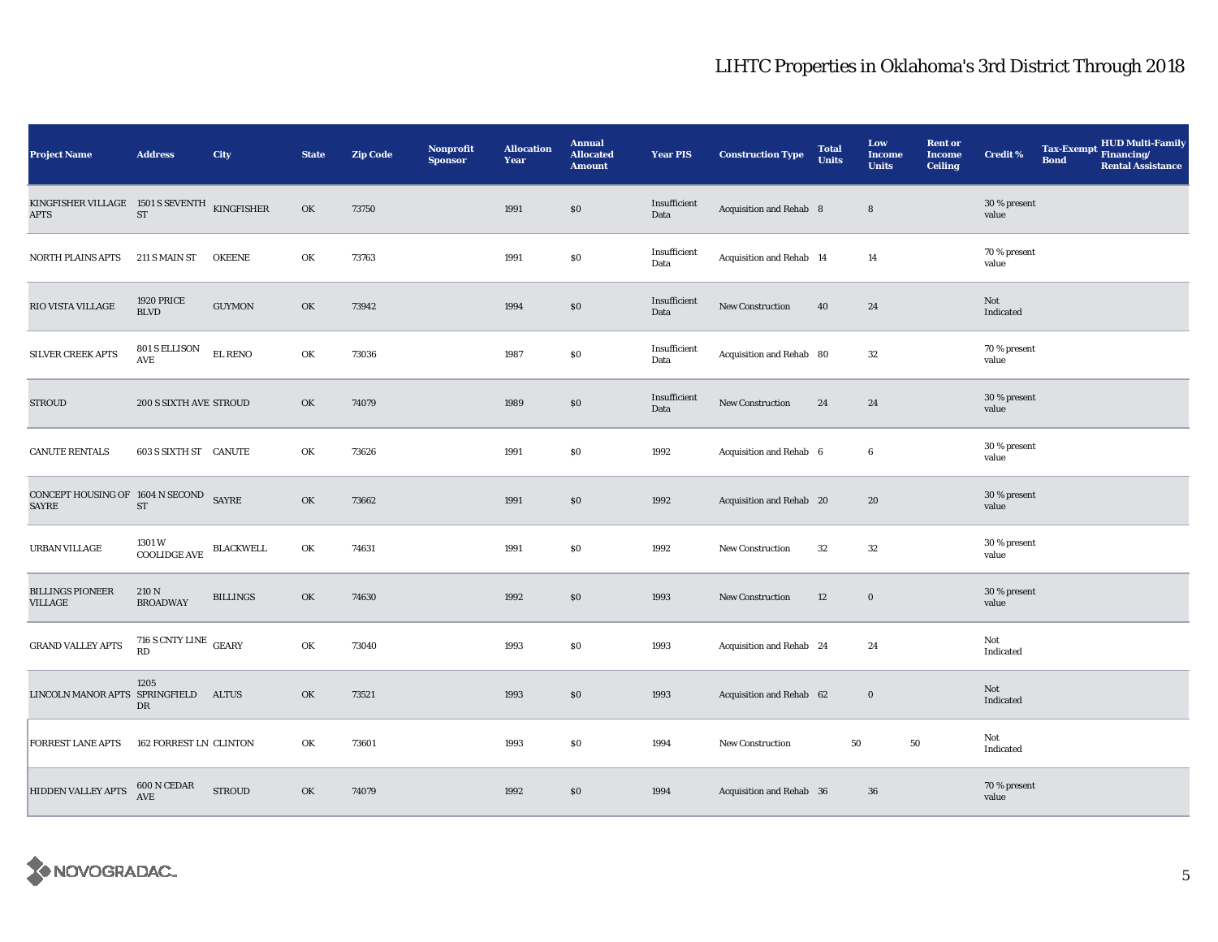| <b>Project Name</b>                                         | <b>Address</b>                   | City             | <b>State</b> | <b>Zip Code</b> | <b>Nonprofit</b><br><b>Sponsor</b> | <b>Allocation</b><br>Year | <b>Annual</b><br><b>Allocated</b><br><b>Amount</b> | <b>Year PIS</b>      | <b>Construction Type</b> | <b>Total</b><br><b>Units</b> | Low<br>Income<br><b>Units</b> | <b>Rent or</b><br><b>Income</b><br><b>Ceiling</b> | <b>Credit %</b>       | <b>Bond</b> | <b>HUD Multi-Family</b><br>Tax-Exempt Financing/<br><b>Rental Assistance</b> |
|-------------------------------------------------------------|----------------------------------|------------------|--------------|-----------------|------------------------------------|---------------------------|----------------------------------------------------|----------------------|--------------------------|------------------------------|-------------------------------|---------------------------------------------------|-----------------------|-------------|------------------------------------------------------------------------------|
| KINGFISHER VILLAGE 1501 S SEVENTH KINGFISHER<br><b>APTS</b> | ST                               |                  | OK           | 73750           |                                    | 1991                      | \$0                                                | Insufficient<br>Data | Acquisition and Rehab 8  |                              | 8                             |                                                   | 30 % present<br>value |             |                                                                              |
| <b>NORTH PLAINS APTS</b>                                    | 211 S MAIN ST                    | <b>OKEENE</b>    | OK           | 73763           |                                    | 1991                      | $\$0$                                              | Insufficient<br>Data | Acquisition and Rehab 14 |                              | 14                            |                                                   | 70 % present<br>value |             |                                                                              |
| RIO VISTA VILLAGE                                           | <b>1920 PRICE</b><br><b>BLVD</b> | <b>GUYMON</b>    | OK           | 73942           |                                    | 1994                      | \$0                                                | Insufficient<br>Data | New Construction         | 40                           | 24                            |                                                   | Not<br>Indicated      |             |                                                                              |
| SILVER CREEK APTS                                           | 801 S ELLISON<br><b>AVE</b>      | EL RENO          | OK           | 73036           |                                    | 1987                      | \$0                                                | Insufficient<br>Data | Acquisition and Rehab 80 |                              | 32                            |                                                   | 70 % present<br>value |             |                                                                              |
| <b>STROUD</b>                                               | 200 S SIXTH AVE STROUD           |                  | OK           | 74079           |                                    | 1989                      | $\$0$                                              | Insufficient<br>Data | New Construction         | 24                           | 24                            |                                                   | 30 % present<br>value |             |                                                                              |
| <b>CANUTE RENTALS</b>                                       | 603 S SIXTH ST CANUTE            |                  | OK           | 73626           |                                    | 1991                      | \$0                                                | 1992                 | Acquisition and Rehab 6  |                              | 6                             |                                                   | 30 % present<br>value |             |                                                                              |
| CONCEPT HOUSING OF $1604$ N SECOND SAYRE<br><b>SAYRE</b>    | $\operatorname{ST}$              |                  | OK           | 73662           |                                    | 1991                      | \$0                                                | 1992                 | Acquisition and Rehab 20 |                              | 20                            |                                                   | 30 % present<br>value |             |                                                                              |
| URBAN VILLAGE                                               | 1301 W<br><b>COOLIDGE AVE</b>    | <b>BLACKWELL</b> | OK           | 74631           |                                    | 1991                      | $\$0$                                              | 1992                 | <b>New Construction</b>  | 32                           | 32                            |                                                   | 30 % present<br>value |             |                                                                              |
| <b>BILLINGS PIONEER</b><br><b>VILLAGE</b>                   | 210 N<br><b>BROADWAY</b>         | <b>BILLINGS</b>  | OK           | 74630           |                                    | 1992                      | \$0                                                | 1993                 | New Construction         | 12                           | $\bf{0}$                      |                                                   | 30 % present<br>value |             |                                                                              |
| <b>GRAND VALLEY APTS</b>                                    | 716 S CNTY LINE GEARY<br>RD      |                  | OK           | 73040           |                                    | 1993                      | \$0                                                | 1993                 | Acquisition and Rehab 24 |                              | 24                            |                                                   | Not<br>Indicated      |             |                                                                              |
| LINCOLN MANOR APTS SPRINGFIELD                              | 1205<br>DR                       | <b>ALTUS</b>     | OK           | 73521           |                                    | 1993                      | \$0                                                | 1993                 | Acquisition and Rehab 62 |                              | $\bf{0}$                      |                                                   | Not<br>Indicated      |             |                                                                              |
| <b>FORREST LANE APTS</b>                                    | <b>162 FORREST LN CLINTON</b>    |                  | OK           | 73601           |                                    | 1993                      | $\$0$                                              | 1994                 | New Construction         | 50                           | 50                            |                                                   | Not<br>Indicated      |             |                                                                              |
| HIDDEN VALLEY APTS                                          | 600 N CEDAR<br><b>AVE</b>        | <b>STROUD</b>    | OK           | 74079           |                                    | 1992                      | \$0                                                | 1994                 | Acquisition and Rehab 36 |                              | 36                            |                                                   | 70 % present<br>value |             |                                                                              |

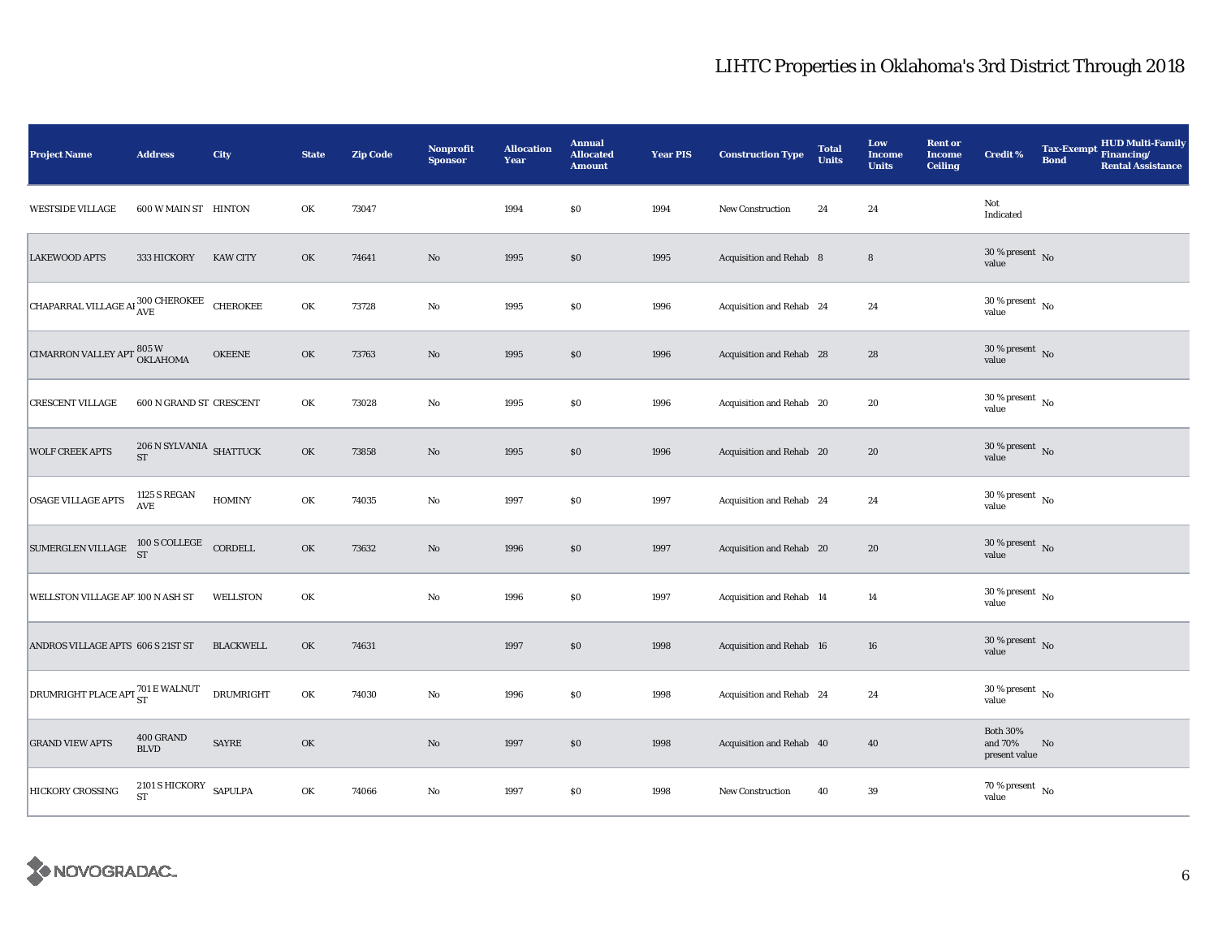| <b>Project Name</b>                                                        | <b>Address</b>                                                                                                                                            | City             | <b>State</b> | <b>Zip Code</b> | Nonprofit<br><b>Sponsor</b> | <b>Allocation</b><br>Year | <b>Annual</b><br><b>Allocated</b><br><b>Amount</b> | <b>Year PIS</b> | <b>Construction Type</b> | <b>Total</b><br><b>Units</b> | Low<br><b>Income</b><br><b>Units</b> | <b>Rent or</b><br><b>Income</b><br><b>Ceiling</b> | <b>Credit %</b>                             | <b>Bond</b>   | Tax-Exempt HUD Multi-Family<br><b>Rental Assistance</b> |
|----------------------------------------------------------------------------|-----------------------------------------------------------------------------------------------------------------------------------------------------------|------------------|--------------|-----------------|-----------------------------|---------------------------|----------------------------------------------------|-----------------|--------------------------|------------------------------|--------------------------------------|---------------------------------------------------|---------------------------------------------|---------------|---------------------------------------------------------|
| <b>WESTSIDE VILLAGE</b>                                                    | 600 W MAIN ST HINTON                                                                                                                                      |                  | OK           | 73047           |                             | 1994                      | \$0                                                | 1994            | <b>New Construction</b>  | 24                           | 24                                   |                                                   | Not<br>Indicated                            |               |                                                         |
| <b>LAKEWOOD APTS</b>                                                       | 333 HICKORY                                                                                                                                               | <b>KAW CITY</b>  | OK           | 74641           | No                          | 1995                      | \$0                                                | 1995            | Acquisition and Rehab 8  |                              | 8                                    |                                                   | $30\,\%$ present $\,$ No $\,$<br>value      |               |                                                         |
| CHAPARRAL VILLAGE AI $^{300\,}_{\rm AVE}$ CHEROKEE                         |                                                                                                                                                           |                  | OK           | 73728           | $\mathbf{No}$               | 1995                      | \$0                                                | 1996            | Acquisition and Rehab 24 |                              | 24                                   |                                                   | $30$ % present $\,$ No $\,$<br>value        |               |                                                         |
| <b>CIMARRON VALLEY APT 805 W</b><br>OKLAHOMA                               |                                                                                                                                                           | <b>OKEENE</b>    | OK           | 73763           | $\rm No$                    | 1995                      | \$0                                                | 1996            | Acquisition and Rehab 28 |                              | 28                                   |                                                   | $30\,\%$ present $\,$ No value              |               |                                                         |
| <b>CRESCENT VILLAGE</b>                                                    | 600 N GRAND ST CRESCENT                                                                                                                                   |                  | OK           | 73028           | $\mathbf{No}$               | 1995                      | \$0                                                | 1996            | Acquisition and Rehab 20 |                              | 20                                   |                                                   | $30\,\%$ present $_{\, \rm No}$<br>value    |               |                                                         |
| <b>WOLF CREEK APTS</b>                                                     | $206$ N SYLVANIA $\,$ SHATTUCK<br><b>ST</b>                                                                                                               |                  | OK           | 73858           | $\mathbf{N}\mathbf{o}$      | 1995                      | \$0                                                | 1996            | Acquisition and Rehab 20 |                              | 20                                   |                                                   | $30\,\%$ present $\,$ No value              |               |                                                         |
| OSAGE VILLAGE APTS                                                         | <b>1125 S REGAN</b><br>AVE                                                                                                                                | <b>HOMINY</b>    | OK           | 74035           | $\rm No$                    | 1997                      | $\$0$                                              | 1997            | Acquisition and Rehab 24 |                              | 24                                   |                                                   | $30\,\%$ present $\,$ No value              |               |                                                         |
| SUMERGLEN VILLAGE                                                          | $\begin{tabular}{c} 100 $\text{S}\text{ COLLEGE}$ \\ \hline $\text{ST}$ \\ \end{tabular} \begin{tabular}{c} \multicolumn{2}{c}{\text{C}CD} \end{tabular}$ |                  | OK           | 73632           | $\rm No$                    | 1996                      | $\$0$                                              | 1997            | Acquisition and Rehab 20 |                              | 20                                   |                                                   | $30\,\%$ present $\,$ No value              |               |                                                         |
| WELLSTON VILLAGE AP' 100 N ASH ST                                          |                                                                                                                                                           | WELLSTON         | OK           |                 | $\rm No$                    | 1996                      | \$0                                                | 1997            | Acquisition and Rehab 14 |                              | 14                                   |                                                   | $30\,\%$ present $\,$ No $\,$<br>value      |               |                                                         |
| ANDROS VILLAGE APTS 606 S 21ST ST                                          |                                                                                                                                                           | <b>BLACKWELL</b> | OK           | 74631           |                             | 1997                      | \$0                                                | 1998            | Acquisition and Rehab 16 |                              | 16                                   |                                                   | $30$ % present $\,$ No $\,$<br>value        |               |                                                         |
| $\boxed{\text{DRUMRIGHT PLACE API} \frac{701\text{ E WALNUT}}{\text{ST}}}$ |                                                                                                                                                           | <b>DRUMRIGHT</b> | OK           | 74030           | $\rm No$                    | 1996                      | \$0                                                | 1998            | Acquisition and Rehab 24 |                              | 24                                   |                                                   | $30$ % present $\,$ No $\,$<br>value        |               |                                                         |
| <b>GRAND VIEW APTS</b>                                                     | 400 GRAND<br><b>BLVD</b>                                                                                                                                  | <b>SAYRE</b>     | OK           |                 | $\mathbf{N}\mathbf{o}$      | 1997                      | \$0                                                | 1998            | Acquisition and Rehab 40 |                              | 40                                   |                                                   | <b>Both 30%</b><br>and 70%<br>present value | $\mathbf{No}$ |                                                         |
| <b>HICKORY CROSSING</b>                                                    | 2101 S HICKORY SAPULPA<br><b>ST</b>                                                                                                                       |                  | OK           | 74066           | No                          | 1997                      | \$0                                                | 1998            | New Construction         | 40                           | 39                                   |                                                   | 70 % present $\hbox{~No}$<br>value          |               |                                                         |

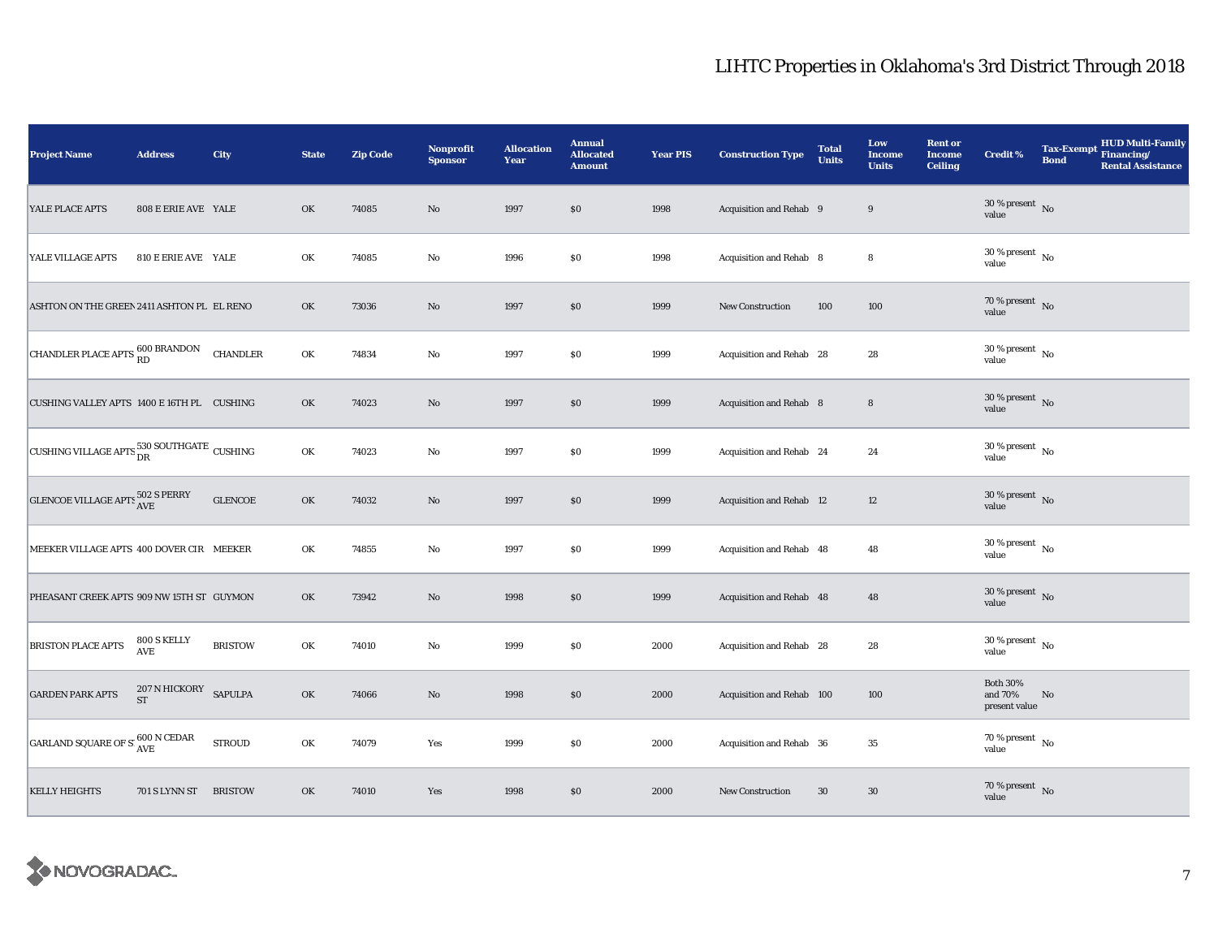| <b>Project Name</b>                                                                | <b>Address</b>             | City            | <b>State</b> | <b>Zip Code</b> | Nonprofit<br><b>Sponsor</b> | <b>Allocation</b><br>Year | <b>Annual</b><br><b>Allocated</b><br><b>Amount</b> | <b>Year PIS</b> | <b>Construction Type</b>  | <b>Total</b><br><b>Units</b> | Low<br><b>Income</b><br><b>Units</b> | <b>Rent or</b><br><b>Income</b><br><b>Ceiling</b> | <b>Credit %</b>                             | <b>Tax-Exempt</b><br><b>Bond</b> | <b>HUD Multi-Family</b><br>Financing/<br><b>Rental Assistance</b> |
|------------------------------------------------------------------------------------|----------------------------|-----------------|--------------|-----------------|-----------------------------|---------------------------|----------------------------------------------------|-----------------|---------------------------|------------------------------|--------------------------------------|---------------------------------------------------|---------------------------------------------|----------------------------------|-------------------------------------------------------------------|
| YALE PLACE APTS                                                                    | 808 E ERIE AVE YALE        |                 | OK           | 74085           | $\rm No$                    | 1997                      | \$0                                                | 1998            | Acquisition and Rehab 9   |                              | 9                                    |                                                   | $30\,\%$ present $\,$ No value              |                                  |                                                                   |
| YALE VILLAGE APTS                                                                  | 810 E ERIE AVE YALE        |                 | OK           | 74085           | No                          | 1996                      | $\$0$                                              | 1998            | Acquisition and Rehab 8   |                              | 8                                    |                                                   | $30$ % present $\,$ No $\,$<br>value        |                                  |                                                                   |
| ASHTON ON THE GREEN 2411 ASHTON PL EL RENO                                         |                            |                 | OK           | 73036           | $\rm No$                    | 1997                      | \$0                                                | 1999            | New Construction          | 100                          | 100                                  |                                                   | 70 % present $\hbox{~No}$<br>value          |                                  |                                                                   |
| CHANDLER PLACE APTS 600 BRANDON                                                    |                            | <b>CHANDLER</b> | OK           | 74834           | $\mathbf{No}$               | 1997                      | <b>SO</b>                                          | 1999            | Acquisition and Rehab 28  |                              | 28                                   |                                                   | $30$ % present $\,$ No $\,$<br>value        |                                  |                                                                   |
| CUSHING VALLEY APTS 1400 E 16TH PL CUSHING                                         |                            |                 | OK           | 74023           | $\rm No$                    | 1997                      | $\$0$                                              | 1999            | Acquisition and Rehab 8   |                              | $\bf8$                               |                                                   | $30$ % present $\,$ No $\,$<br>value        |                                  |                                                                   |
| CUSHING VILLAGE APTS 530 SOUTHGATE CUSHING                                         |                            |                 | OK           | 74023           | $\mathbf{No}$               | 1997                      | \$0                                                | 1999            | Acquisition and Rehab 24  |                              | 24                                   |                                                   | $30$ % present $\,$ No $\,$<br>value        |                                  |                                                                   |
| GLENCOE VILLAGE APTS 502 S PERRY                                                   |                            | <b>GLENCOE</b>  | OK           | 74032           | $\rm No$                    | 1997                      | $\$0$                                              | 1999            | Acquisition and Rehab 12  |                              | $12\,$                               |                                                   | $30\,\%$ present $\,$ No value              |                                  |                                                                   |
| MEEKER VILLAGE APTS 400 DOVER CIR MEEKER                                           |                            |                 | OK           | 74855           | No                          | 1997                      | $\$0$                                              | 1999            | Acquisition and Rehab 48  |                              | 48                                   |                                                   | $30\,\%$ present $\,$ No value              |                                  |                                                                   |
| PHEASANT CREEK APTS 909 NW 15TH ST GUYMON                                          |                            |                 | OK           | 73942           | $\mathbf{N}\mathbf{o}$      | 1998                      | $\$0$                                              | 1999            | Acquisition and Rehab 48  |                              | 48                                   |                                                   | 30 % present $\overline{N_0}$<br>value      |                                  |                                                                   |
| <b>BRISTON PLACE APTS</b>                                                          | 800 S KELLY<br>AVE         | <b>BRISTOW</b>  | OK           | 74010           | $\rm No$                    | 1999                      | \$0                                                | 2000            | Acquisition and Rehab 28  |                              | 28                                   |                                                   | $30$ % present $\,$ No $\,$<br>value        |                                  |                                                                   |
| <b>GARDEN PARK APTS</b>                                                            | 207 N HICKORY<br><b>ST</b> | <b>SAPULPA</b>  | OK           | 74066           | No                          | 1998                      | \$0                                                | 2000            | Acquisition and Rehab 100 |                              | 100                                  |                                                   | <b>Both 30%</b><br>and 70%<br>present value | No                               |                                                                   |
| $\boxed{\text{GARLAND SQUARE OF S: } ^{600\text{ N} \text{ CEDAR}}_{\text{AVE}} }$ |                            | <b>STROUD</b>   | OK           | 74079           | Yes                         | 1999                      | \$0                                                | 2000            | Acquisition and Rehab 36  |                              | 35                                   |                                                   | 70 % present $\hbox{~No}$<br>value          |                                  |                                                                   |
| <b>KELLY HEIGHTS</b>                                                               | 701 S LYNN ST              | <b>BRISTOW</b>  | OK           | 74010           | Yes                         | 1998                      | \$0                                                | 2000            | <b>New Construction</b>   | $30\,$                       | 30                                   |                                                   | 70 % present $\hbox{~No}$<br>value          |                                  |                                                                   |

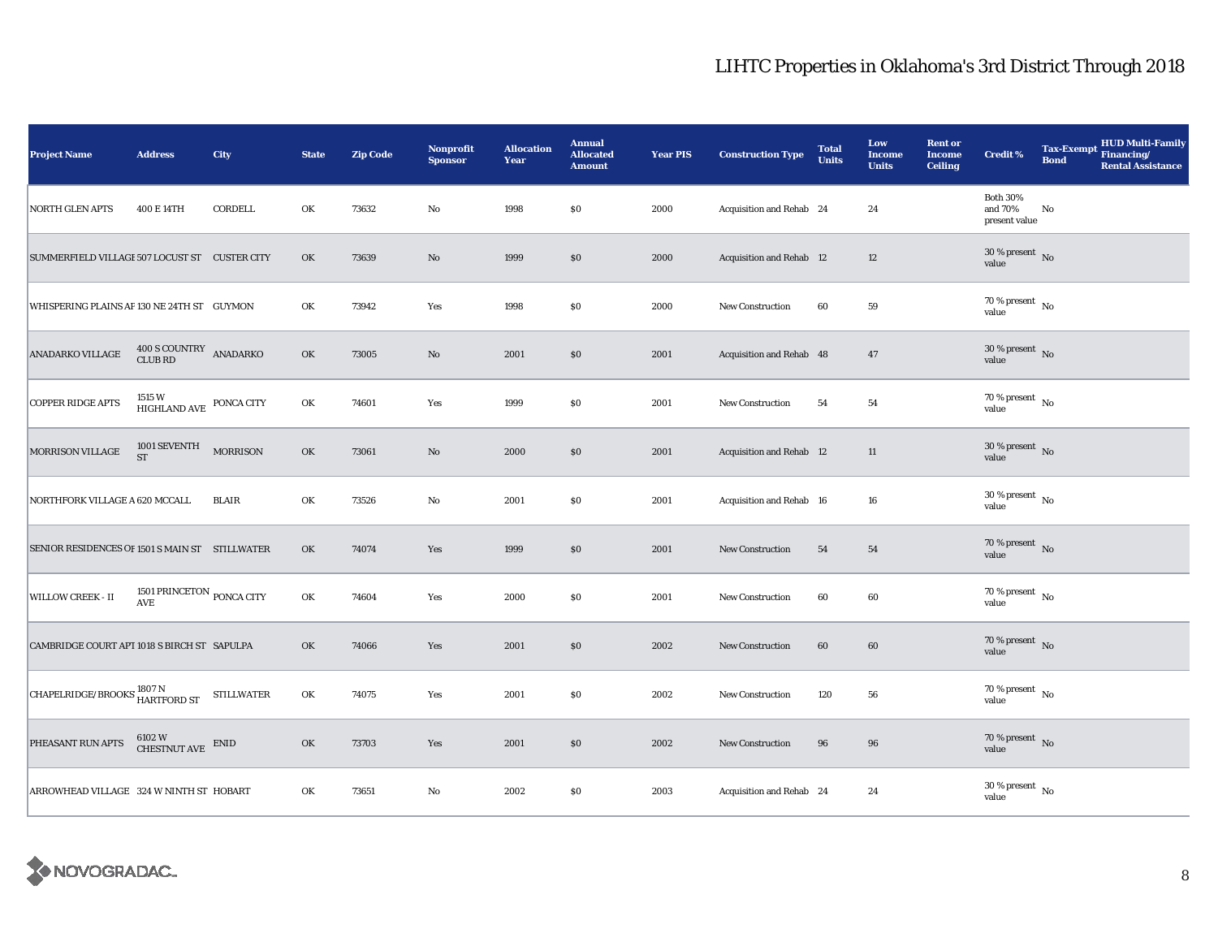| <b>Project Name</b>                             | <b>Address</b>                                        | <b>City</b>       | <b>State</b> | <b>Zip Code</b> | <b>Nonprofit</b><br><b>Sponsor</b> | <b>Allocation</b><br>Year | <b>Annual</b><br><b>Allocated</b><br><b>Amount</b> | <b>Year PIS</b> | <b>Construction Type</b> | <b>Total</b><br><b>Units</b> | Low<br>Income<br><b>Units</b> | <b>Rent or</b><br><b>Income</b><br><b>Ceiling</b> | <b>Credit %</b>                             | <b>Bond</b> | <b>HUD Multi-Family</b><br>Tax-Exempt Financing/<br><b>Rental Assistance</b> |
|-------------------------------------------------|-------------------------------------------------------|-------------------|--------------|-----------------|------------------------------------|---------------------------|----------------------------------------------------|-----------------|--------------------------|------------------------------|-------------------------------|---------------------------------------------------|---------------------------------------------|-------------|------------------------------------------------------------------------------|
| NORTH GLEN APTS                                 | 400 E 14TH                                            | CORDELL           | OK           | 73632           | $\rm No$                           | 1998                      | \$0                                                | 2000            | Acquisition and Rehab 24 |                              | 24                            |                                                   | <b>Both 30%</b><br>and 70%<br>present value | No          |                                                                              |
| SUMMERFIELD VILLAGI 507 LOCUST ST  CUSTER CITY  |                                                       |                   | OK           | 73639           | $\mathbf{N}\mathbf{o}$             | 1999                      | $\$0$                                              | 2000            | Acquisition and Rehab 12 |                              | $12\,$                        |                                                   | 30 % present $\,$ No $\,$<br>value          |             |                                                                              |
| WHISPERING PLAINS AP 130 NE 24TH ST GUYMON      |                                                       |                   | OK           | 73942           | Yes                                | 1998                      | \$0                                                | 2000            | New Construction         | 60                           | 59                            |                                                   | $70$ % present $\,$ No $\,$<br>value        |             |                                                                              |
| <b>ANADARKO VILLAGE</b>                         | 400 S COUNTRY ANADARKO<br><b>CLUB RD</b>              |                   | OK           | 73005           | $\mathbf{N}\mathbf{o}$             | 2001                      | \$0                                                | 2001            | Acquisition and Rehab 48 |                              | 47                            |                                                   | $30$ % present $\,$ No $\,$<br>value        |             |                                                                              |
| <b>COPPER RIDGE APTS</b>                        | 1515 W<br>HIGHLAND AVE                                | PONCA CITY        | OK           | 74601           | Yes                                | 1999                      | \$0                                                | 2001            | New Construction         | 54                           | 54                            |                                                   | 70 % present $\hbox{~No}$<br>value          |             |                                                                              |
| MORRISON VILLAGE                                | 1001 SEVENTH<br><b>ST</b>                             | <b>MORRISON</b>   | OK           | 73061           | $\rm No$                           | 2000                      | \$0                                                | 2001            | Acquisition and Rehab 12 |                              | 11                            |                                                   | $30\,\%$ present $\,$ No value              |             |                                                                              |
| NORTHFORK VILLAGE A 620 MCCALL                  |                                                       | <b>BLAIR</b>      | OK           | 73526           | $_{\rm No}$                        | 2001                      | \$0                                                | 2001            | Acquisition and Rehab 16 |                              | 16                            |                                                   | $30\,\%$ present $\,$ No value              |             |                                                                              |
| SENIOR RESIDENCES OF 1501 S MAIN ST STILLWATER  |                                                       |                   | OK           | 74074           | Yes                                | 1999                      | \$0                                                | 2001            | <b>New Construction</b>  | 54                           | 54                            |                                                   | $70\,\%$ present $\,$ No value              |             |                                                                              |
| <b>WILLOW CREEK - II</b>                        | 1501 PRINCETON PONCA CITY<br>$\operatorname{AVE}$     |                   | OK           | 74604           | Yes                                | 2000                      | \$0                                                | 2001            | New Construction         | 60                           | 60                            |                                                   | $70$ % present $\,$ No $\,$<br>value        |             |                                                                              |
| CAMBRIDGE COURT APT 1018 S BIRCH ST SAPULPA     |                                                       |                   | OK           | 74066           | Yes                                | 2001                      | \$0                                                | 2002            | New Construction         | 60                           | 60                            |                                                   | 70 % present $\hbox{~No}$<br>value          |             |                                                                              |
| <b>CHAPELRIDGE/BROOKS 1807 N</b><br>HARTFORD ST |                                                       | <b>STILLWATER</b> | OK           | 74075           | Yes                                | 2001                      | \$0                                                | 2002            | <b>New Construction</b>  | 120                          | 56                            |                                                   | 70 % present $\hbox{~No}$<br>value          |             |                                                                              |
| PHEASANT RUN APTS                               | $6102~\mathrm{W}$ $$\rm CHESTNUT\; AVE$$ $$\rm ENID$$ |                   | OK           | 73703           | Yes                                | 2001                      | \$0                                                | 2002            | New Construction         | 96                           | 96                            |                                                   | 70 % present $\hbox{~No}$<br>value          |             |                                                                              |
| ARROWHEAD VILLAGE 324 W NINTH ST HOBART         |                                                       |                   | OK           | 73651           | No                                 | 2002                      | \$0                                                | 2003            | Acquisition and Rehab 24 |                              | 24                            |                                                   | $30$ % present $\,$ No $\,$<br>value        |             |                                                                              |

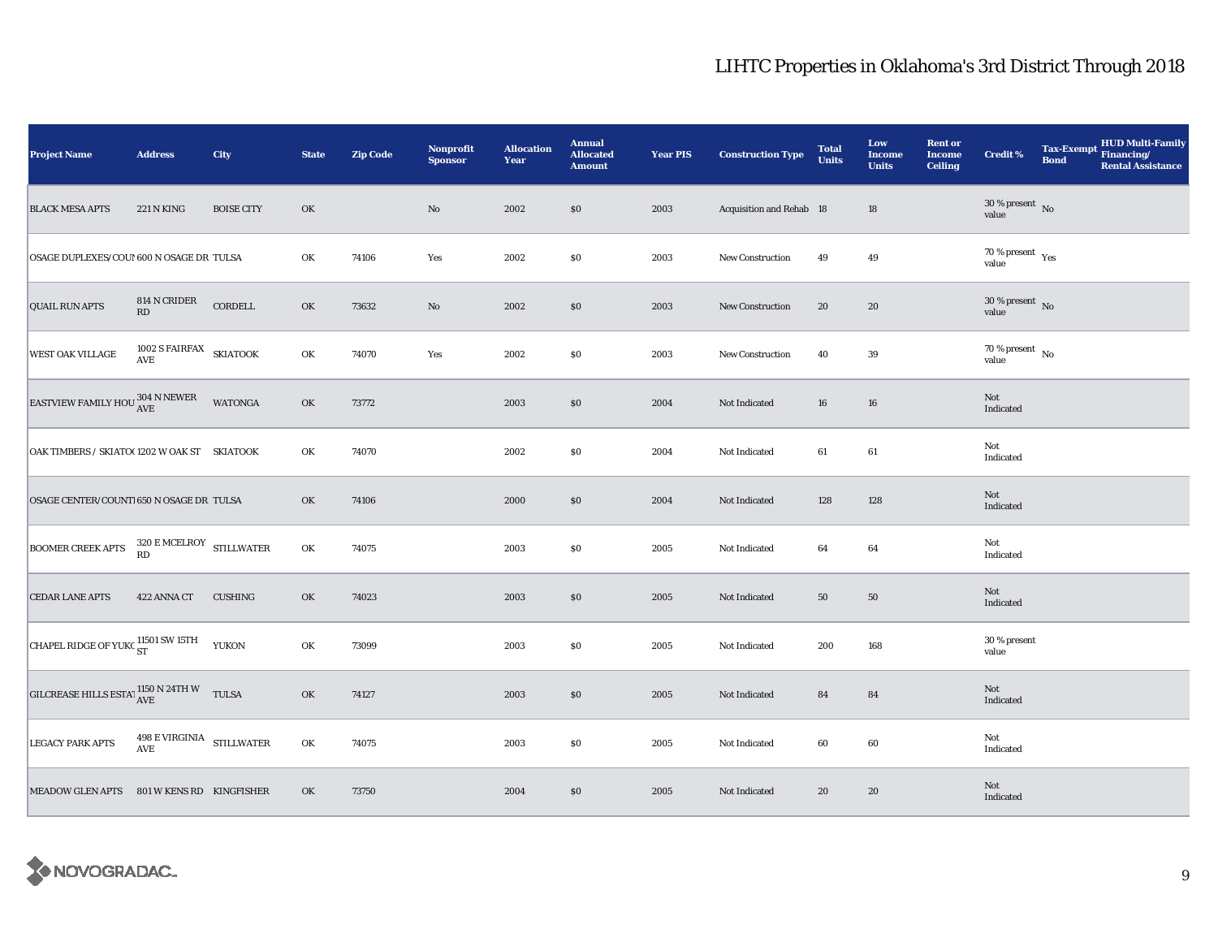| <b>Project Name</b>                                                                                                                      | <b>Address</b>                          | City              | <b>State</b> | <b>Zip Code</b> | <b>Nonprofit</b><br><b>Sponsor</b> | <b>Allocation</b><br>Year | <b>Annual</b><br><b>Allocated</b><br><b>Amount</b> | <b>Year PIS</b> | <b>Construction Type</b> | <b>Total</b><br><b>Units</b> | Low<br><b>Income</b><br><b>Units</b> | <b>Rent or</b><br><b>Income</b><br><b>Ceiling</b> | <b>Credit %</b>                       | <b>Bond</b> | <b>HUD Multi-Family</b><br>Tax-Exempt Financing/<br><b>Rental Assistance</b> |
|------------------------------------------------------------------------------------------------------------------------------------------|-----------------------------------------|-------------------|--------------|-----------------|------------------------------------|---------------------------|----------------------------------------------------|-----------------|--------------------------|------------------------------|--------------------------------------|---------------------------------------------------|---------------------------------------|-------------|------------------------------------------------------------------------------|
| <b>BLACK MESA APTS</b>                                                                                                                   | <b>221 N KING</b>                       | <b>BOISE CITY</b> | OK           |                 | $\rm No$                           | 2002                      | \$0                                                | 2003            | Acquisition and Rehab 18 |                              | 18                                   |                                                   | $30\,\%$ present $\,$ No value        |             |                                                                              |
| OSAGE DUPLEXES/COU! 600 N OSAGE DR TULSA                                                                                                 |                                         |                   | OK           | 74106           | Yes                                | 2002                      | $\$0$                                              | 2003            | <b>New Construction</b>  | 49                           | 49                                   |                                                   | $70\,\%$ present $\,$ $\rm Yes$ value |             |                                                                              |
| <b>QUAIL RUN APTS</b>                                                                                                                    | 814 N CRIDER<br>$\mathbf{R}\mathbf{D}$  | CORDELL           | OK           | 73632           | $\rm No$                           | 2002                      | \$0                                                | 2003            | New Construction         | 20                           | 20                                   |                                                   | $30\,\%$ present $\,$ No value        |             |                                                                              |
| <b>WEST OAK VILLAGE</b>                                                                                                                  | $1002$ S FAIRFAX $$\sf SKIATOOK$$       |                   | OK           | 74070           | Yes                                | 2002                      | \$0                                                | 2003            | <b>New Construction</b>  | 40                           | 39                                   |                                                   | 70 % present $\hbox{~No}$<br>value    |             |                                                                              |
| EASTVIEW FAMILY HOU $^{304\,N\,\rm{NEWER}}_{\rm{AVE}}$                                                                                   |                                         | WATONGA           | OK           | 73772           |                                    | 2003                      | $\$0$                                              | 2004            | Not Indicated            | 16                           | 16                                   |                                                   | Not<br>Indicated                      |             |                                                                              |
| OAK TIMBERS / SKIATO(1202 W OAK ST SKIATOOK                                                                                              |                                         |                   | OK           | 74070           |                                    | 2002                      | \$0                                                | 2004            | Not Indicated            | 61                           | 61                                   |                                                   | Not<br>Indicated                      |             |                                                                              |
| OSAGE CENTER/COUNT1650 N OSAGE DR TULSA                                                                                                  |                                         |                   | OK           | 74106           |                                    | 2000                      | \$0                                                | 2004            | Not Indicated            | 128                          | 128                                  |                                                   | Not<br>Indicated                      |             |                                                                              |
| <b>BOOMER CREEK APTS</b>                                                                                                                 | $320\,$ E MCELROY $$\tt STILLWATER$$ RD |                   | OK           | 74075           |                                    | 2003                      | $\$0$                                              | 2005            | Not Indicated            | 64                           | 64                                   |                                                   | Not<br>Indicated                      |             |                                                                              |
| <b>CEDAR LANE APTS</b>                                                                                                                   | 422 ANNA CT                             | <b>CUSHING</b>    | OK           | 74023           |                                    | 2003                      | ${\bf S0}$                                         | 2005            | Not Indicated            | 50                           | 50                                   |                                                   | Not<br>Indicated                      |             |                                                                              |
| <b>CHAPEL RIDGE OF YUKC <math>_{ST}^{11501}</math> SW 15TH</b>                                                                           |                                         | <b>YUKON</b>      | OK           | 73099           |                                    | 2003                      | $\$0$                                              | 2005            | Not Indicated            | 200                          | 168                                  |                                                   | 30 % present<br>value                 |             |                                                                              |
| $\begin{array}{ll} \text{GILCREASE HILLS ESTA}^{\intercal} \frac{1150 \text{ N } 24 \text{TH W}}{\text{AVE}} & \text{TULSA} \end{array}$ |                                         |                   | OK           | 74127           |                                    | 2003                      | \$0                                                | 2005            | Not Indicated            | 84                           | 84                                   |                                                   | Not<br>Indicated                      |             |                                                                              |
| <b>LEGACY PARK APTS</b>                                                                                                                  | $498$ E VIRGINIA $$\rm{\,STILLWATER}\$$ |                   | OK           | 74075           |                                    | 2003                      | \$0                                                | 2005            | Not Indicated            | 60                           | 60                                   |                                                   | Not<br>Indicated                      |             |                                                                              |
| MEADOW GLEN APTS 801 W KENS RD KINGFISHER                                                                                                |                                         |                   | OK           | 73750           |                                    | 2004                      | $\$0$                                              | 2005            | Not Indicated            | 20                           | 20                                   |                                                   | Not<br>Indicated                      |             |                                                                              |

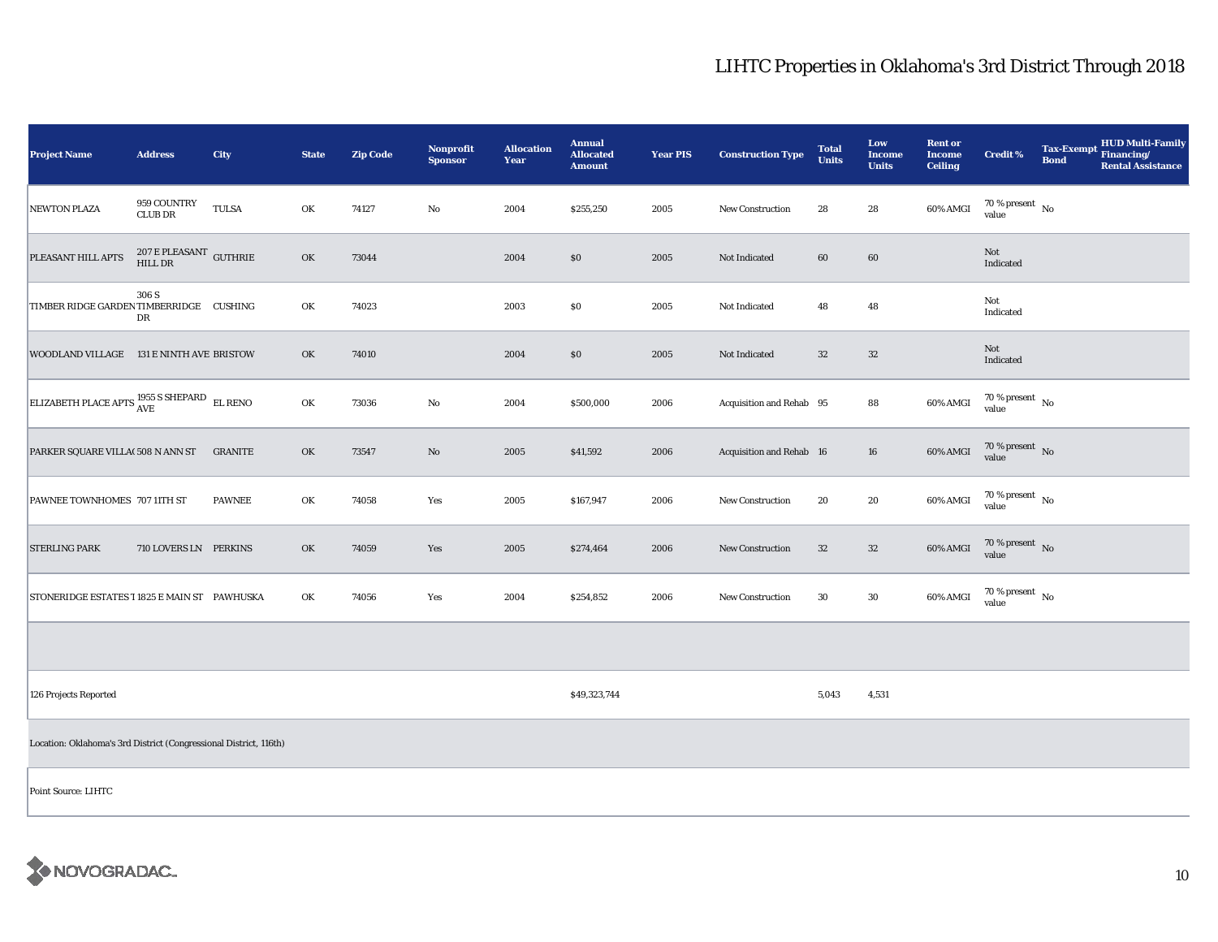| <b>Project Name</b>                                               | <b>Address</b>                        | City           | <b>State</b> | <b>Zip Code</b> | <b>Nonprofit</b><br><b>Sponsor</b> | <b>Allocation</b><br>Year | <b>Annual</b><br><b>Allocated</b><br><b>Amount</b> | <b>Year PIS</b> | <b>Construction Type</b> | <b>Total</b><br><b>Units</b> | Low<br><b>Income</b><br><b>Units</b> | <b>Rent or</b><br><b>Income</b><br><b>Ceiling</b> | Credit %                               | Tax-Exempt Financing/<br><b>Bond</b> | HUD Multi-Family<br><b>Rental Assistance</b> |
|-------------------------------------------------------------------|---------------------------------------|----------------|--------------|-----------------|------------------------------------|---------------------------|----------------------------------------------------|-----------------|--------------------------|------------------------------|--------------------------------------|---------------------------------------------------|----------------------------------------|--------------------------------------|----------------------------------------------|
| <b>NEWTON PLAZA</b>                                               | 959 COUNTRY<br><b>CLUB DR</b>         | <b>TULSA</b>   | OK           | 74127           | No                                 | 2004                      | \$255,250                                          | 2005            | <b>New Construction</b>  | 28                           | 28                                   | 60% AMGI                                          | $70\,\%$ present $\,$ No $\,$<br>value |                                      |                                              |
| PLEASANT HILL APTS                                                | $207$ E PLEASANT $\,$ GUTHRIE HILL DR |                | OK           | 73044           |                                    | 2004                      | \$0                                                | 2005            | Not Indicated            | 60                           | 60                                   |                                                   | Not<br>Indicated                       |                                      |                                              |
| TIMBER RIDGE GARDEN TIMBERRIDGE CUSHING                           | 306 S<br>DR                           |                | OK           | 74023           |                                    | 2003                      | $\$0$                                              | 2005            | Not Indicated            | 48                           | 48                                   |                                                   | Not<br>Indicated                       |                                      |                                              |
| WOODLAND VILLAGE 131 E NINTH AVE BRISTOW                          |                                       |                | OK           | 74010           |                                    | 2004                      | S <sub>0</sub>                                     | 2005            | Not Indicated            | 32                           | 32                                   |                                                   | Not<br>Indicated                       |                                      |                                              |
| ELIZABETH PLACE APTS $^{1955}_{\rm AVE}$ SHEPARD EL RENO          |                                       |                | OK           | 73036           | $\rm No$                           | 2004                      | \$500,000                                          | 2006            | Acquisition and Rehab 95 |                              | 88                                   | 60% AMGI                                          | $70\,\%$ present $\,$ No value         |                                      |                                              |
| PARKER SQUARE VILLA(508 N ANN ST                                  |                                       | <b>GRANITE</b> | OK           | 73547           | $\rm No$                           | 2005                      | \$41,592                                           | 2006            | Acquisition and Rehab 16 |                              | 16                                   | 60% AMGI                                          | $70\,\%$ present $\,$ No value         |                                      |                                              |
| PAWNEE TOWNHOMES 707 11TH ST                                      |                                       | <b>PAWNEE</b>  | OK           | 74058           | Yes                                | 2005                      | \$167,947                                          | 2006            | New Construction         | 20                           | 20                                   | 60% AMGI                                          | $70\,\%$ present $\,$ No value         |                                      |                                              |
| <b>STERLING PARK</b>                                              | 710 LOVERS LN PERKINS                 |                | OK           | 74059           | Yes                                | 2005                      | \$274,464                                          | 2006            | <b>New Construction</b>  | 32                           | $32\,$                               | 60% AMGI                                          | 70 % present $\,$ No $\,$<br>value     |                                      |                                              |
| STONERIDGE ESTATES I 1825 E MAIN ST PAWHUSKA                      |                                       |                | OK           | 74056           | Yes                                | 2004                      | \$254,852                                          | 2006            | <b>New Construction</b>  | 30                           | 30                                   | 60% AMGI                                          | $70\,\%$ present $\,$ No value         |                                      |                                              |
|                                                                   |                                       |                |              |                 |                                    |                           |                                                    |                 |                          |                              |                                      |                                                   |                                        |                                      |                                              |
| 126 Projects Reported                                             |                                       |                |              |                 |                                    |                           | \$49,323,744                                       |                 |                          | 5,043                        | 4,531                                |                                                   |                                        |                                      |                                              |
| Location: Oklahoma's 3rd District (Congressional District, 116th) |                                       |                |              |                 |                                    |                           |                                                    |                 |                          |                              |                                      |                                                   |                                        |                                      |                                              |
| Point Source: LIHTC                                               |                                       |                |              |                 |                                    |                           |                                                    |                 |                          |                              |                                      |                                                   |                                        |                                      |                                              |